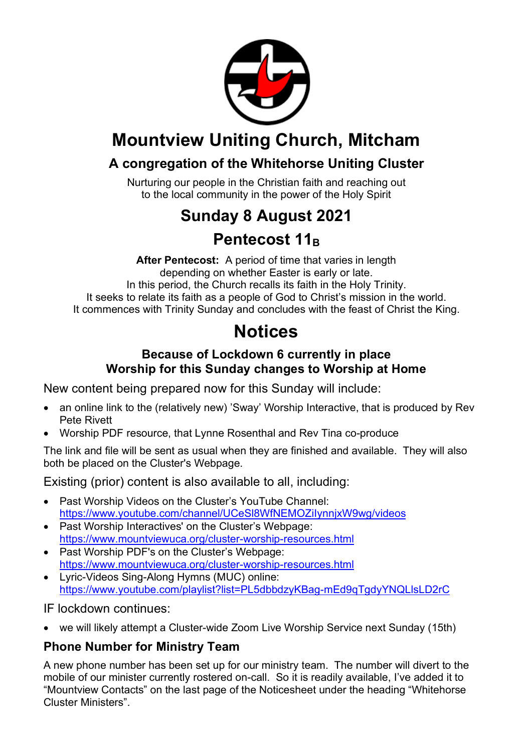

# **Mountview Uniting Church, Mitcham**

## **A congregation of the Whitehorse Uniting Cluster**

Nurturing our people in the Christian faith and reaching out to the local community in the power of the Holy Spirit

# **Sunday 8 August 2021**

## **Pentecost 11B**

**After Pentecost:** A period of time that varies in length depending on whether Easter is early or late. In this period, the Church recalls its faith in the Holy Trinity. It seeks to relate its faith as a people of God to Christ's mission in the world. It commences with Trinity Sunday and concludes with the feast of Christ the King.

## **Notices**

### **Because of Lockdown 6 currently in place Worship for this Sunday changes to Worship at Home**

New content being prepared now for this Sunday will include:

- an online link to the (relatively new) 'Sway' Worship Interactive, that is produced by Rev Pete Rivett
- Worship PDF resource, that Lynne Rosenthal and Rev Tina co-produce

The link and file will be sent as usual when they are finished and available. They will also both be placed on the Cluster's Webpage.

Existing (prior) content is also available to all, including:

- Past Worship Videos on the Cluster's YouTube Channel: https://www.youtube.com/channel/UCeSl8WfNEMOZiIynnjxW9wg/videos
- Past Worship Interactives' on the Cluster's Webpage: https://www.mountviewuca.org/cluster-worship-resources.html
- Past Worship PDF's on the Cluster's Webpage: https://www.mountviewuca.org/cluster-worship-resources.html
- Lyric-Videos Sing-Along Hymns (MUC) online: https://www.youtube.com/playlist?list=PL5dbbdzyKBag-mEd9qTgdyYNQLlsLD2rC

IF lockdown continues:

• we will likely attempt a Cluster-wide Zoom Live Worship Service next Sunday (15th)

## **Phone Number for Ministry Team**

A new phone number has been set up for our ministry team. The number will divert to the mobile of our minister currently rostered on-call. So it is readily available, I've added it to "Mountview Contacts" on the last page of the Noticesheet under the heading "Whitehorse Cluster Ministers".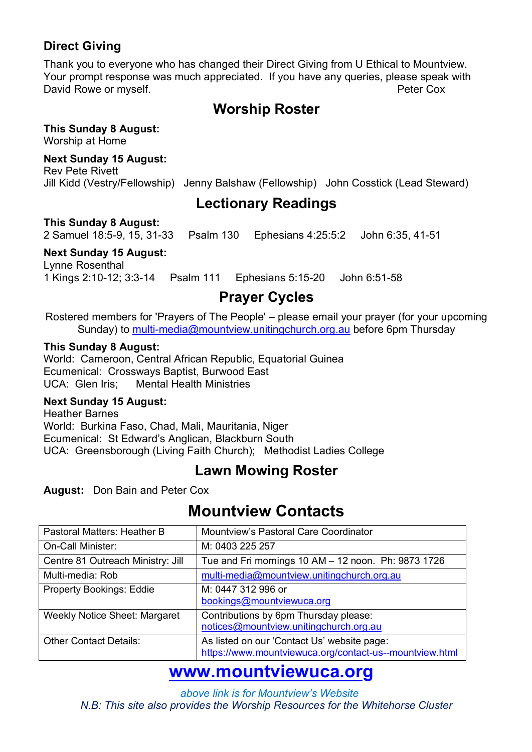### **Direct Giving**

Thank you to everyone who has changed their Direct Giving from U Ethical to Mountview. Your prompt response was much appreciated. If you have any queries, please speak with David Rowe or myself. The community of the community of the Peter Cox

## **Worship Roster**

**This Sunday 8 August:** 

Worship at Home

**Next Sunday 15 August:** 

Rev Pete Rivett Jill Kidd (Vestry/Fellowship) Jenny Balshaw (Fellowship) John Cosstick (Lead Steward)

## **Lectionary Readings**

**This Sunday 8 August:** 

2 Samuel 18:5-9, 15, 31-33 Psalm 130 Ephesians 4:25:5:2 John 6:35, 41-51

#### **Next Sunday 15 August:**

Lynne Rosenthal 1 Kings 2:10-12; 3:3-14 Psalm 111 Ephesians 5:15-20 John 6:51-58

## **Prayer Cycles**

Rostered members for 'Prayers of The People' – please email your prayer (for your upcoming Sunday) to multi-media@mountview.unitingchurch.org.au before 6pm Thursday

#### **This Sunday 8 August:**

World: Cameroon, Central African Republic, Equatorial Guinea Ecumenical: Crossways Baptist, Burwood East UCA: Glen Iris; Mental Health Ministries

#### **Next Sunday 15 August:**

Heather Barnes World: Burkina Faso, Chad, Mali, Mauritania, Niger Ecumenical: St Edward's Anglican, Blackburn South UCA: Greensborough (Living Faith Church); Methodist Ladies College

## **Lawn Mowing Roster**

**August:** Don Bain and Peter Cox

## **Mountview Contacts**

| Pastoral Matters: Heather B          | Mountview's Pastoral Care Coordinator                   |
|--------------------------------------|---------------------------------------------------------|
| <b>On-Call Minister:</b>             | M: 0403 225 257                                         |
| Centre 81 Outreach Ministry: Jill    | Tue and Fri mornings 10 AM - 12 noon. Ph: 9873 1726     |
| Multi-media: Rob                     | multi-media@mountview.unitingchurch.org.au              |
| <b>Property Bookings: Eddie</b>      | M: 0447 312 996 or                                      |
|                                      | bookings@mountviewuca.org                               |
| <b>Weekly Notice Sheet: Margaret</b> | Contributions by 6pm Thursday please:                   |
|                                      | notices@mountview.unitingchurch.org.au                  |
| <b>Other Contact Details:</b>        | As listed on our 'Contact Us' website page:             |
|                                      | https://www.mountviewuca.org/contact-us--mountview.html |

## **www.mountviewuca.org**

 *above link is for Mountview's Website N.B: This site also provides the Worship Resources for the Whitehorse Cluster*